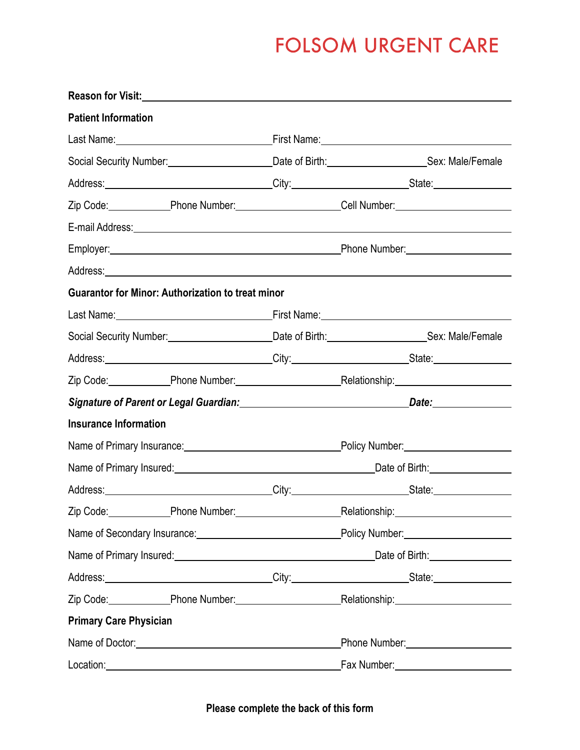# **FOLSOM URGENT CARE**

| <b>Patient Information</b>                                                                                     |                                       |
|----------------------------------------------------------------------------------------------------------------|---------------------------------------|
|                                                                                                                |                                       |
| Social Security Number: ________________________Date of Birth: _______________________Sex: Male/Female         |                                       |
|                                                                                                                |                                       |
| Zip Code: Phone Number: Cell Number: Cell Number:                                                              |                                       |
|                                                                                                                |                                       |
|                                                                                                                |                                       |
|                                                                                                                |                                       |
| <b>Guarantor for Minor: Authorization to treat minor</b>                                                       |                                       |
|                                                                                                                |                                       |
| Social Security Number: _______________________Date of Birth: _________________________Sex: Male/Female        |                                       |
|                                                                                                                |                                       |
| Zip Code: Phone Number: Relationship: Relationship:                                                            |                                       |
| Signature of Parent or Legal Guardian: Manual Communication Date: Manual Communication Date:                   |                                       |
| <b>Insurance Information</b>                                                                                   |                                       |
| Name of Primary Insurance: Name of Primary Insurance: Name of Primary Insurance:                               |                                       |
|                                                                                                                |                                       |
| Address:__________________________________City:__________________________State:_____________________           |                                       |
| Zip Code: Phone Number: Relationship: Relationship:                                                            |                                       |
|                                                                                                                |                                       |
|                                                                                                                |                                       |
| Address: __________________________________City:___________________________State:_____________________________ |                                       |
| Zip Code: Phone Number: Relationship: Relationship:                                                            |                                       |
| <b>Primary Care Physician</b>                                                                                  |                                       |
|                                                                                                                | Phone Number: _______________________ |
|                                                                                                                | Fax Number: 1997                      |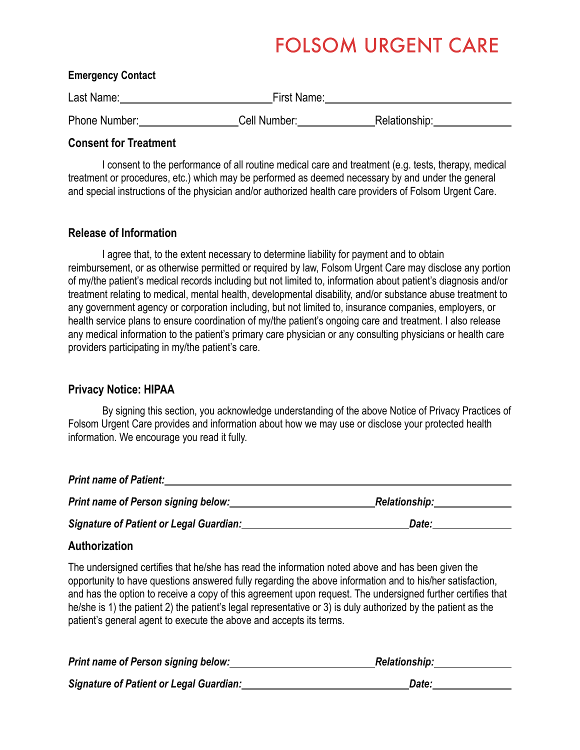### **FOLSOM URGENT CARE**

#### **Emergency Contact**

| Last Name:           | First Name:  |               |  |
|----------------------|--------------|---------------|--|
| <b>Phone Number:</b> | Cell Number: | Relationship: |  |

**Consent for Treatment** 

I consent to the performance of all routine medical care and treatment (e.g. tests, therapy, medical treatment or procedures, etc.) which may be performed as deemed necessary by and under the general and special instructions of the physician and/or authorized health care providers of Folsom Urgent Care.

#### **Release of Information**

I agree that, to the extent necessary to determine liability for payment and to obtain reimbursement, or as otherwise permitted or required by law, Folsom Urgent Care may disclose any portion of my/the patient's medical records including but not limited to, information about patient's diagnosis and/or treatment relating to medical, mental health, developmental disability, and/or substance abuse treatment to any government agency or corporation including, but not limited to, insurance companies, employers, or health service plans to ensure coordination of my/the patient's ongoing care and treatment. I also release any medical information to the patient's primary care physician or any consulting physicians or health care providers participating in my/the patient's care.

#### **Privacy Notice: HIPAA**

By signing this section, you acknowledge understanding of the above Notice of Privacy Practices of Folsom Urgent Care provides and information about how we may use or disclose your protected health information. We encourage you read it fully.

| <b>Print name of Patient:</b>                  |                      |  |
|------------------------------------------------|----------------------|--|
| <b>Print name of Person signing below:</b>     | <b>Relationship:</b> |  |
| <b>Signature of Patient or Legal Guardian:</b> | Date:                |  |

### **Authorization**

The undersigned certifies that he/she has read the information noted above and has been given the opportunity to have questions answered fully regarding the above information and to his/her satisfaction, and has the option to receive a copy of this agreement upon request. The undersigned further certifies that he/she is 1) the patient 2) the patient's legal representative or 3) is duly authorized by the patient as the patient's general agent to execute the above and accepts its terms.

| Print name of Person signing below:            | <b>Relationship:</b> |
|------------------------------------------------|----------------------|
| <b>Signature of Patient or Legal Guardian:</b> | Date:                |